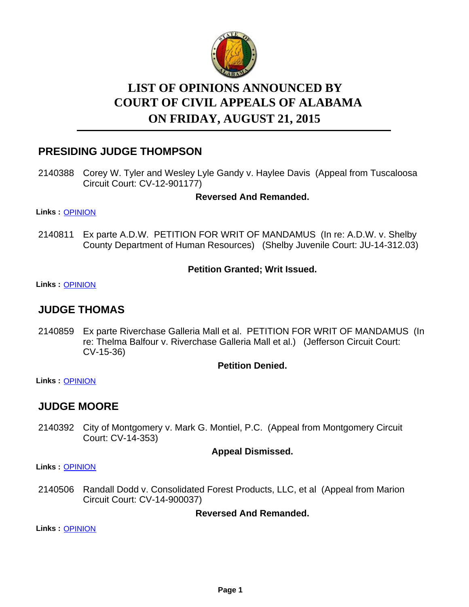

# **LIST OF OPINIONS ANNOUNCED BY ON FRIDAY, AUGUST 21, 2015 COURT OF CIVIL APPEALS OF ALABAMA**

# **PRESIDING JUDGE THOMPSON**

2140388 Corey W. Tyler and Wesley Lyle Gandy v. Haylee Davis (Appeal from Tuscaloosa Circuit Court: CV-12-901177)

#### **Reversed And Remanded.**

**Links :** [OPINION](https://acis.alabama.gov/displaydocs.cfm?no=678779&event=4FE0KESQM)

Ex parte A.D.W. PETITION FOR WRIT OF MANDAMUS (In re: A.D.W. v. Shelby County Department of Human Resources) (Shelby Juvenile Court: JU-14-312.03) 2140811

#### **Petition Granted; Writ Issued.**

**Links :** [OPINION](https://acis.alabama.gov/displaydocs.cfm?no=678782&event=4FE0KET72)

# **JUDGE THOMAS**

2140859 Ex parte Riverchase Galleria Mall et al. PETITION FOR WRIT OF MANDAMUS (In re: Thelma Balfour v. Riverchase Galleria Mall et al.) (Jefferson Circuit Court: CV-15-36)

#### **Petition Denied.**

**Links :** [OPINION](https://acis.alabama.gov/displaydocs.cfm?no=678783&event=4FE0KETCO)

# **JUDGE MOORE**

2140392 City of Montgomery v. Mark G. Montiel, P.C. (Appeal from Montgomery Circuit Court: CV-14-353)

#### **Appeal Dismissed.**

**Links :** [OPINION](https://acis.alabama.gov/displaydocs.cfm?no=678780&event=4FE0KESVT)

2140506 Randall Dodd v. Consolidated Forest Products, LLC, et al (Appeal from Marion Circuit Court: CV-14-900037)

#### **Reversed And Remanded.**

**Links :** [OPINION](https://acis.alabama.gov/displaydocs.cfm?no=678781&event=4FE0KET10)